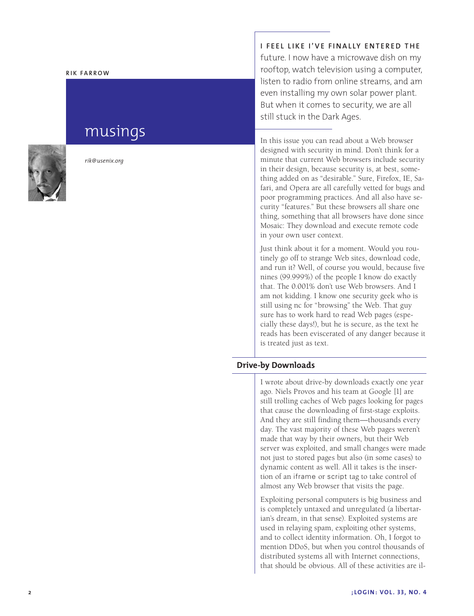#### **Rik Fa rr o w**

# musings



*rik@usenix.org*

**I feel l i ke I've f i nally entered the** future. I now have a microwave dish on my rooftop, watch television using a computer, listen to radio from online streams, and am even installing my own solar power plant. But when it comes to security, we are all still stuck in the Dark Ages.

In this issue you can read about a Web browser designed with security in mind. Don't think for a minute that current Web browsers include security in their design, because security is, at best, some thing added on as "desirable." Sure, Firefox, IE, Sa fari, and Opera are all carefully vetted for bugs and poor programming practices. And all also have se curity "features." But these browsers all share one thing, something that all browsers have done since Mosaic: They download and execute remote code in your own user context.

Just think about it for a moment. Would you rou tinely go off to strange Web sites, download code, and run it? Well, of course you would, because five nines (99.999%) of the people I know do exactly that. The 0.001% don't use Web browsers. And I am not kidding. I know one security geek who is still using nc for "browsing" the Web. That guy sure has to work hard to read Web pages (espe cially these days!), but he is secure, as the text he reads has been eviscerated of any danger because it is treated just as text.

## **Drive-by Downloads**

I wrote about drive-by downloads exactly one year ago. Niels Provos and his team at Google [1] are still trolling caches of Web pages looking for pages that cause the downloading of first-stage exploits. And they are still finding them—thousands every day. The vast majority of these Web pages weren't made that way by their owners, but their Web server was exploited, and small changes were made not just to stored pages but also (in some cases) to dynamic content as well. All it takes is the insertion of an iframe or script tag to take control of almost any Web browser that visits the page.

Exploiting personal computers is big business and is completely untaxed and unregulated (a libertarian's dream, in that sense). Exploited systems are used in relaying spam, exploiting other systems, and to collect identity information. Oh, I forgot to mention DDoS, but when you control thousands of distributed systems all with Internet connections, that should be obvious. All of these activities are il -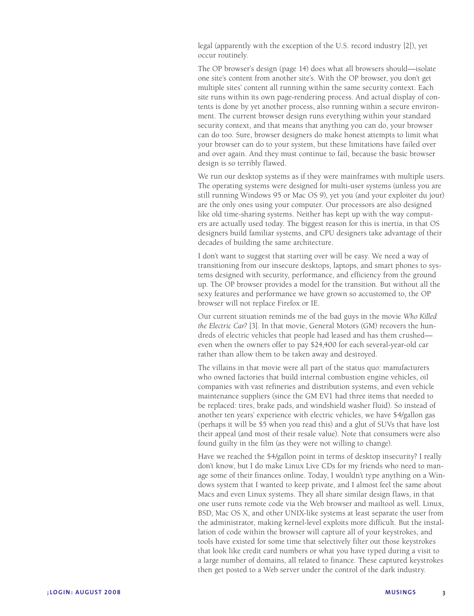legal (apparently with the exception of the U.S. record industry [2]), yet occur routinely.

The OP browser's design (page 14) does what all browsers should—isolate one site's content from another site's. With the OP browser, you don't get multiple sites' content all running within the same security context. Each site runs within its own page-rendering process. And actual display of contents is done by yet another process, also running within a secure environment. The current browser design runs everything within your standard security context, and that means that anything you can do, your browser can do too. Sure, browser designers do make honest attempts to limit what your browser can do to your system, but these limitations have failed over and over again. And they must continue to fail, because the basic browser design is so terribly flawed.

We run our desktop systems as if they were mainframes with multiple users. The operating systems were designed for multi-user systems (unless you are still running Windows 95 or Mac OS 9), yet you (and your exploiter du jour) are the only ones using your computer. Our processors are also designed like old time-sharing systems. Neither has kept up with the way computers are actually used today. The biggest reason for this is inertia, in that OS designers build familiar systems, and CPU designers take advantage of their decades of building the same architecture.

I don't want to suggest that starting over will be easy. We need a way of transitioning from our insecure desktops, laptops, and smart phones to systems designed with security, performance, and efficiency from the ground up. The OP browser provides a model for the transition. But without all the sexy features and performance we have grown so accustomed to, the OP browser will not replace Firefox or IE.

Our current situation reminds me of the bad guys in the movie *Who Killed the Electric Car?* [3]. In that movie, General Motors (GM) recovers the hundreds of electric vehicles that people had leased and has them crushed even when the owners offer to pay \$24,400 for each several-year-old car rather than allow them to be taken away and destroyed.

The villains in that movie were all part of the status quo: manufacturers who owned factories that build internal combustion engine vehicles, oil companies with vast refineries and distribution systems, and even vehicle maintenance suppliers (since the GM EV1 had three items that needed to be replaced: tires, brake pads, and windshield washer fluid). So instead of another ten years' experience with electric vehicles, we have \$4/gallon gas (perhaps it will be \$5 when you read this) and a glut of SUVs that have lost their appeal (and most of their resale value). Note that consumers were also found guilty in the film (as they were not willing to change).

Have we reached the \$4/gallon point in terms of desktop insecurity? I really don't know, but I do make Linux Live CDs for my friends who need to manage some of their finances online. Today, I wouldn't type anything on a Windows system that I wanted to keep private, and I almost feel the same about Macs and even Linux systems. They all share similar design flaws, in that one user runs remote code via the Web browser and mailtool as well. Linux, BSD, Mac OS X, and other UNIX-like systems at least separate the user from the administrator, making kernel-level exploits more difficult. But the installation of code within the browser will capture all of your keystrokes, and tools have existed for some time that selectively filter out those keystrokes that look like credit card numbers or what you have typed during a visit to a large number of domains, all related to finance. These captured keystrokes then get posted to a Web server under the control of the dark industry.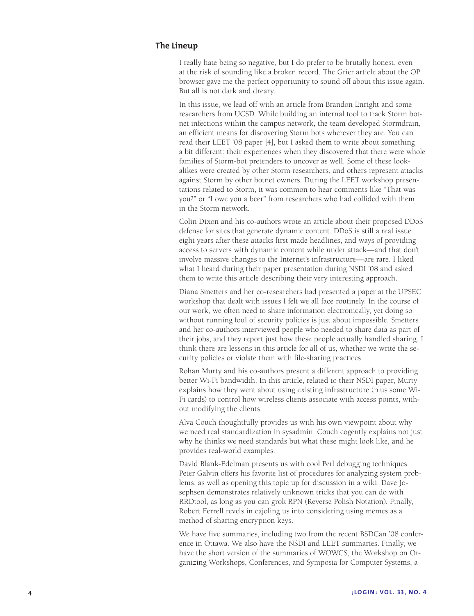#### **The Lineup**

I really hate being so negative, but I do prefer to be brutally honest, even at the risk of sounding like a broken record. The Grier article about the OP browser gave me the perfect opportunity to sound off about this issue again. But all is not dark and dreary.

In this issue, we lead off with an article from Brandon Enright and some researchers from UCSD. While building an internal tool to track Storm bot net infections within the campus network, the team developed Stormdrain, an efficient means for discovering Storm bots wherever they are. You can read their LEET '08 paper [4], but I asked them to write about something a bit different: their experiences when they discovered that there were whole families of Storm-bot pretenders to uncover as well. Some of these lookalikes were created by other Storm researchers, and others represent attacks against Storm by other botnet owners. During the LEET workshop presen tations related to Storm, it was common to hear comments like "That was you?" or "I owe you a beer" from researchers who had collided with them in the Storm network.

Colin Dixon and his co-authors wrote an article about their proposed DDoS defense for sites that generate dynamic content. DDoS is still a real issue eight years after these attacks first made headlines, and ways of providing access to servers with dynamic content while under attack—and that don't involve massive changes to the Internet's infrastructure—are rare. I liked what I heard during their paper presentation during NSDI '08 and asked them to write this article describing their very interesting approach.

Diana Smetters and her co-researchers had presented a paper at the UPSEC workshop that dealt with issues I felt we all face routinely. In the course of our work, we often need to share information electronically, yet doing so without running foul of security policies is just about impossible. Smetters and her co-authors interviewed people who needed to share data as part of their jobs, and they report just how these people actually handled sharing. I think there are lessons in this article for all of us, whether we write the se curity policies or violate them with file-sharing practices.

Rohan Murty and his co-authors present a different approach to providing better Wi-Fi bandwidth. In this article, related to their NSDI paper, Murty explains how they went about using existing infrastructure (plus some Wi-Fi cards) to control how wireless clients associate with access points, without modifying the clients.

Alva Couch thoughtfully provides us with his own viewpoint about why we need real standardization in sysadmin. Couch cogently explains not just why he thinks we need standards but what these might look like, and he provides real-world examples.

David Blank-Edelman presents us with cool Perl debugging techniques. Peter Galvin offers his favorite list of procedures for analyzing system prob lems, as well as opening this topic up for discussion in a wiki. Dave Jo sephsen demonstrates relatively unknown tricks that you can do with RRDtool, as long as you can grok RPN (Reverse Polish Notation). Finally, Robert Ferrell revels in cajoling us into considering using memes as a method of sharing encryption keys.

We have five summaries, including two from the recent BSDCan '08 conference in Ottawa. We also have the NSDI and LEET summaries. Finally, we have the short version of the summaries of WOWCS, the Workshop on Organizing Workshops, Conferences, and Symposia for Computer Systems, a